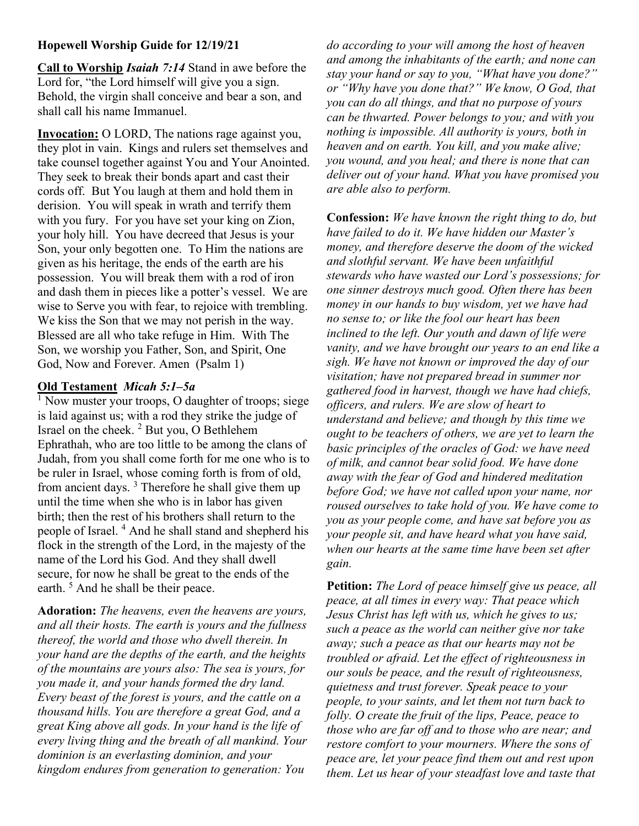## Hopewell Worship Guide for 12/19/21

Call to Worship Isaiah 7:14 Stand in awe before the Lord for, "the Lord himself will give you a sign. Behold, the virgin shall conceive and bear a son, and shall call his name Immanuel.

Invocation: O LORD, The nations rage against you, they plot in vain. Kings and rulers set themselves and take counsel together against You and Your Anointed. They seek to break their bonds apart and cast their cords off. But You laugh at them and hold them in derision. You will speak in wrath and terrify them with you fury. For you have set your king on Zion, your holy hill. You have decreed that Jesus is your Son, your only begotten one. To Him the nations are given as his heritage, the ends of the earth are his possession. You will break them with a rod of iron and dash them in pieces like a potter's vessel. We are wise to Serve you with fear, to rejoice with trembling. We kiss the Son that we may not perish in the way. Blessed are all who take refuge in Him. With The Son, we worship you Father, Son, and Spirit, One God, Now and Forever. Amen (Psalm 1)

## Old Testament Micah 5:1–5a

<sup>1</sup> Now muster your troops, O daughter of troops; siege is laid against us; with a rod they strike the judge of Israel on the cheek.  $2$  But you, O Bethlehem Ephrathah, who are too little to be among the clans of Judah, from you shall come forth for me one who is to be ruler in Israel, whose coming forth is from of old, from ancient days.<sup>3</sup> Therefore he shall give them up until the time when she who is in labor has given birth; then the rest of his brothers shall return to the people of Israel.<sup>4</sup> And he shall stand and shepherd his flock in the strength of the Lord, in the majesty of the name of the Lord his God. And they shall dwell secure, for now he shall be great to the ends of the earth.<sup>5</sup> And he shall be their peace.

Adoration: The heavens, even the heavens are yours, and all their hosts. The earth is yours and the fullness thereof, the world and those who dwell therein. In your hand are the depths of the earth, and the heights of the mountains are yours also: The sea is yours, for you made it, and your hands formed the dry land. Every beast of the forest is yours, and the cattle on a thousand hills. You are therefore a great God, and a great King above all gods. In your hand is the life of every living thing and the breath of all mankind. Your dominion is an everlasting dominion, and your kingdom endures from generation to generation: You

do according to your will among the host of heaven and among the inhabitants of the earth; and none can stay your hand or say to you, "What have you done?" or "Why have you done that?" We know, O God, that you can do all things, and that no purpose of yours can be thwarted. Power belongs to you; and with you nothing is impossible. All authority is yours, both in heaven and on earth. You kill, and you make alive; you wound, and you heal; and there is none that can deliver out of your hand. What you have promised you are able also to perform.

Confession: We have known the right thing to do, but have failed to do it. We have hidden our Master's money, and therefore deserve the doom of the wicked and slothful servant. We have been unfaithful stewards who have wasted our Lord's possessions; for one sinner destroys much good. Often there has been money in our hands to buy wisdom, yet we have had no sense to; or like the fool our heart has been inclined to the left. Our youth and dawn of life were vanity, and we have brought our years to an end like a sigh. We have not known or improved the day of our visitation; have not prepared bread in summer nor gathered food in harvest, though we have had chiefs, officers, and rulers. We are slow of heart to understand and believe; and though by this time we ought to be teachers of others, we are yet to learn the basic principles of the oracles of God: we have need of milk, and cannot bear solid food. We have done away with the fear of God and hindered meditation before God; we have not called upon your name, nor roused ourselves to take hold of you. We have come to you as your people come, and have sat before you as your people sit, and have heard what you have said, when our hearts at the same time have been set after gain.

Petition: The Lord of peace himself give us peace, all peace, at all times in every way: That peace which Jesus Christ has left with us, which he gives to us; such a peace as the world can neither give nor take away; such a peace as that our hearts may not be troubled or afraid. Let the effect of righteousness in our souls be peace, and the result of righteousness, quietness and trust forever. Speak peace to your people, to your saints, and let them not turn back to folly. O create the fruit of the lips, Peace, peace to those who are far off and to those who are near; and restore comfort to your mourners. Where the sons of peace are, let your peace find them out and rest upon them. Let us hear of your steadfast love and taste that